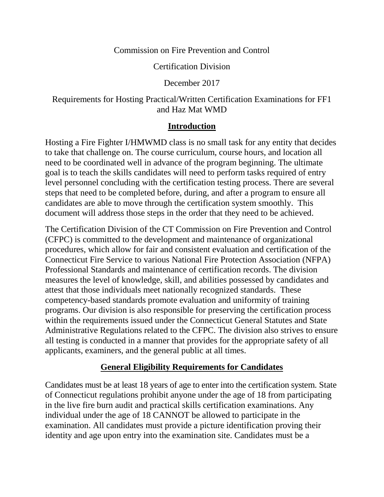#### Commission on Fire Prevention and Control

Certification Division

December 2017

## Requirements for Hosting Practical/Written Certification Examinations for FF1 and Haz Mat WMD

#### **Introduction**

Hosting a Fire Fighter I/HMWMD class is no small task for any entity that decides to take that challenge on. The course curriculum, course hours, and location all need to be coordinated well in advance of the program beginning. The ultimate goal is to teach the skills candidates will need to perform tasks required of entry level personnel concluding with the certification testing process. There are several steps that need to be completed before, during, and after a program to ensure all candidates are able to move through the certification system smoothly. This document will address those steps in the order that they need to be achieved.

The Certification Division of the CT Commission on Fire Prevention and Control (CFPC) is committed to the development and maintenance of organizational procedures, which allow for fair and consistent evaluation and certification of the Connecticut Fire Service to various National Fire Protection Association (NFPA) Professional Standards and maintenance of certification records. The division measures the level of knowledge, skill, and abilities possessed by candidates and attest that those individuals meet nationally recognized standards. These competency-based standards promote evaluation and uniformity of training programs. Our division is also responsible for preserving the certification process within the requirements issued under the Connecticut General Statutes and State Administrative Regulations related to the CFPC. The division also strives to ensure all testing is conducted in a manner that provides for the appropriate safety of all applicants, examiners, and the general public at all times.

## **General Eligibility Requirements for Candidates**

Candidates must be at least 18 years of age to enter into the certification system. State of Connecticut regulations prohibit anyone under the age of 18 from participating in the live fire burn audit and practical skills certification examinations. Any individual under the age of 18 CANNOT be allowed to participate in the examination. All candidates must provide a picture identification proving their identity and age upon entry into the examination site. Candidates must be a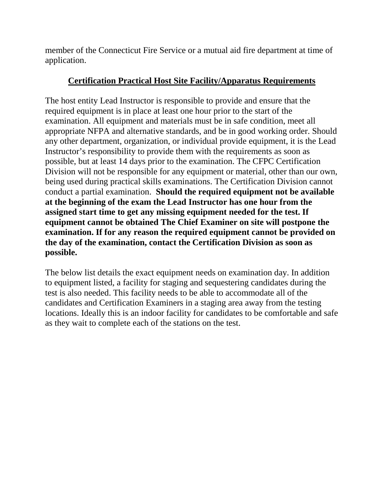member of the Connecticut Fire Service or a mutual aid fire department at time of application.

## **Certification Practical Host Site Facility/Apparatus Requirements**

The host entity Lead Instructor is responsible to provide and ensure that the required equipment is in place at least one hour prior to the start of the examination. All equipment and materials must be in safe condition, meet all appropriate NFPA and alternative standards, and be in good working order. Should any other department, organization, or individual provide equipment, it is the Lead Instructor's responsibility to provide them with the requirements as soon as possible, but at least 14 days prior to the examination. The CFPC Certification Division will not be responsible for any equipment or material, other than our own, being used during practical skills examinations. The Certification Division cannot conduct a partial examination. **Should the required equipment not be available at the beginning of the exam the Lead Instructor has one hour from the assigned start time to get any missing equipment needed for the test. If equipment cannot be obtained The Chief Examiner on site will postpone the examination. If for any reason the required equipment cannot be provided on the day of the examination, contact the Certification Division as soon as possible.**

The below list details the exact equipment needs on examination day. In addition to equipment listed, a facility for staging and sequestering candidates during the test is also needed. This facility needs to be able to accommodate all of the candidates and Certification Examiners in a staging area away from the testing locations. Ideally this is an indoor facility for candidates to be comfortable and safe as they wait to complete each of the stations on the test.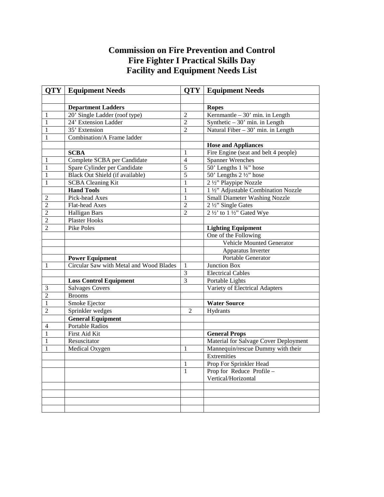## **Commission on Fire Prevention and Control Fire Fighter I Practical Skills Day Facility and Equipment Needs List**

|                | <b>QTY</b>   Equipment Needs            |                | <b>QTY</b>   Equipment Needs               |
|----------------|-----------------------------------------|----------------|--------------------------------------------|
|                |                                         |                |                                            |
|                | <b>Department Ladders</b>               |                | <b>Ropes</b>                               |
| 1              | 20' Single Ladder (roof type)           | $\overline{2}$ | Kernmantle $-30'$ min. in Length           |
| 1              | 24' Extension Ladder                    | $\overline{2}$ | Synthetic $-30'$ min. in Length            |
| 1              | 35' Extension                           | $\overline{2}$ | Natural Fiber $-30'$ min. in Length        |
| 1              | Combination/A Frame ladder              |                |                                            |
|                |                                         |                | <b>Hose and Appliances</b>                 |
|                | <b>SCBA</b>                             | 1              | Fire Engine (seat and belt 4 people)       |
| 1              | Complete SCBA per Candidate             | $\overline{4}$ | <b>Spanner Wrenches</b>                    |
| 1              | Spare Cylinder per Candidate            | $\overline{5}$ | 50' Lengths 1 3/4" hose                    |
| $\mathbf{1}$   | Black Out Shield (if available)         | $\overline{5}$ | 50' Lengths 2 1/2" hose                    |
| $\mathbf 1$    | <b>SCBA Cleaning Kit</b>                | $\mathbf{1}$   | 2 1/2" Playpipe Nozzle                     |
|                | <b>Hand Tools</b>                       | $\mathbf{1}$   | 1 1/2" Adjustable Combination Nozzle       |
| 2              | Pick-head Axes                          | $\mathbf{1}$   | Small Diameter Washing Nozzle              |
| 2              | Flat-head Axes                          | $\overline{2}$ | 2 1/2" Single Gates                        |
| $\overline{2}$ | Halligan Bars                           | $\mathfrak{D}$ | $2\frac{1}{2}$ to $1\frac{1}{2}$ Gated Wye |
| $\overline{c}$ | <b>Plaster Hooks</b>                    |                |                                            |
| $\overline{2}$ | <b>Pike Poles</b>                       |                | <b>Lighting Equipment</b>                  |
|                |                                         |                | One of the Following                       |
|                |                                         |                | <b>Vehicle Mounted Generator</b>           |
|                |                                         |                | Apparatus Inverter                         |
|                | <b>Power Equipment</b>                  |                | Portable Generator                         |
| 1              | Circular Saw with Metal and Wood Blades | 1              | <b>Junction Box</b>                        |
|                |                                         | $\overline{3}$ | <b>Electrical Cables</b>                   |
|                | <b>Loss Control Equipment</b>           | 3              | Portable Lights                            |
| 3              | <b>Salvages Covers</b>                  |                | Variety of Electrical Adapters             |
| $\overline{2}$ | <b>Brooms</b>                           |                |                                            |
| $\mathbf{1}$   | Smoke Ejector                           |                | <b>Water Source</b>                        |
| $\overline{c}$ | Sprinkler wedges                        | $\overline{2}$ | Hydrants                                   |
|                | <b>General Equipment</b>                |                |                                            |
| 4              | <b>Portable Radios</b>                  |                |                                            |
| 1              | First Aid Kit                           |                | <b>General Props</b>                       |
| 1              | Resuscitator                            |                | Material for Salvage Cover Deployment      |
| 1              | Medical Oxygen                          | $\mathbf{1}$   | Mannequin/rescue Dummy with their          |
|                |                                         |                | <b>Extremities</b>                         |
|                |                                         | $\mathbf{1}$   | Prop For Sprinkler Head                    |
|                |                                         | $\mathbf{1}$   | Prop for Reduce Profile -                  |
|                |                                         |                | Vertical/Horizontal                        |
|                |                                         |                |                                            |
|                |                                         |                |                                            |
|                |                                         |                |                                            |
|                |                                         |                |                                            |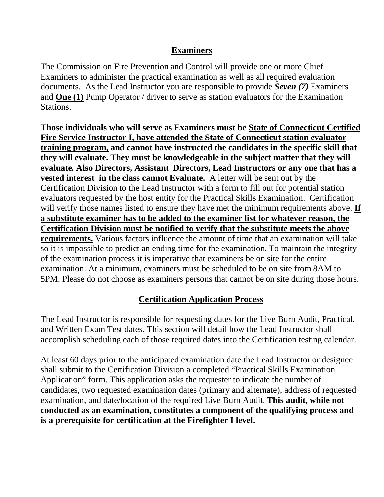## **Examiners**

The Commission on Fire Prevention and Control will provide one or more Chief Examiners to administer the practical examination as well as all required evaluation documents. As the Lead Instructor you are responsible to provide *Seven (7)* Examiners and **One (1)** Pump Operator / driver to serve as station evaluators for the Examination Stations.

**Those individuals who will serve as Examiners must be State of Connecticut Certified Fire Service Instructor I, have attended the State of Connecticut station evaluator training program, and cannot have instructed the candidates in the specific skill that they will evaluate. They must be knowledgeable in the subject matter that they will evaluate. Also Directors, Assistant Directors, Lead Instructors or any one that has a vested interest in the class cannot Evaluate.** A letter will be sent out by the Certification Division to the Lead Instructor with a form to fill out for potential station evaluators requested by the host entity for the Practical Skills Examination. Certification will verify those names listed to ensure they have met the minimum requirements above. **If a substitute examiner has to be added to the examiner list for whatever reason, the Certification Division must be notified to verify that the substitute meets the above requirements.** Various factors influence the amount of time that an examination will take so it is impossible to predict an ending time for the examination. To maintain the integrity of the examination process it is imperative that examiners be on site for the entire examination. At a minimum, examiners must be scheduled to be on site from 8AM to 5PM. Please do not choose as examiners persons that cannot be on site during those hours.

# **Certification Application Process**

The Lead Instructor is responsible for requesting dates for the Live Burn Audit, Practical, and Written Exam Test dates. This section will detail how the Lead Instructor shall accomplish scheduling each of those required dates into the Certification testing calendar.

At least 60 days prior to the anticipated examination date the Lead Instructor or designee shall submit to the Certification Division a completed "Practical Skills Examination Application" form. This application asks the requester to indicate the number of candidates, two requested examination dates (primary and alternate), address of requested examination, and date/location of the required Live Burn Audit. **This audit, while not conducted as an examination, constitutes a component of the qualifying process and is a prerequisite for certification at the Firefighter I level.**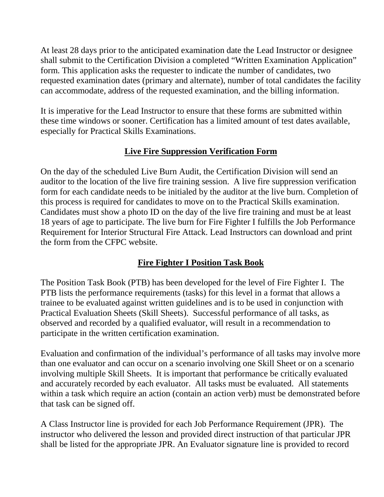At least 28 days prior to the anticipated examination date the Lead Instructor or designee shall submit to the Certification Division a completed "Written Examination Application" form. This application asks the requester to indicate the number of candidates, two requested examination dates (primary and alternate), number of total candidates the facility can accommodate, address of the requested examination, and the billing information.

It is imperative for the Lead Instructor to ensure that these forms are submitted within these time windows or sooner. Certification has a limited amount of test dates available, especially for Practical Skills Examinations.

# **Live Fire Suppression Verification Form**

On the day of the scheduled Live Burn Audit, the Certification Division will send an auditor to the location of the live fire training session. A live fire suppression verification form for each candidate needs to be initialed by the auditor at the live burn. Completion of this process is required for candidates to move on to the Practical Skills examination. Candidates must show a photo ID on the day of the live fire training and must be at least 18 years of age to participate. The live burn for Fire Fighter I fulfills the Job Performance Requirement for Interior Structural Fire Attack. Lead Instructors can download and print the form from the CFPC website.

## **Fire Fighter I Position Task Book**

The Position Task Book (PTB) has been developed for the level of Fire Fighter I. The PTB lists the performance requirements (tasks) for this level in a format that allows a trainee to be evaluated against written guidelines and is to be used in conjunction with Practical Evaluation Sheets (Skill Sheets). Successful performance of all tasks, as observed and recorded by a qualified evaluator, will result in a recommendation to participate in the written certification examination.

Evaluation and confirmation of the individual's performance of all tasks may involve more than one evaluator and can occur on a scenario involving one Skill Sheet or on a scenario involving multiple Skill Sheets. It is important that performance be critically evaluated and accurately recorded by each evaluator. All tasks must be evaluated. All statements within a task which require an action (contain an action verb) must be demonstrated before that task can be signed off.

A Class Instructor line is provided for each Job Performance Requirement (JPR). The instructor who delivered the lesson and provided direct instruction of that particular JPR shall be listed for the appropriate JPR. An Evaluator signature line is provided to record